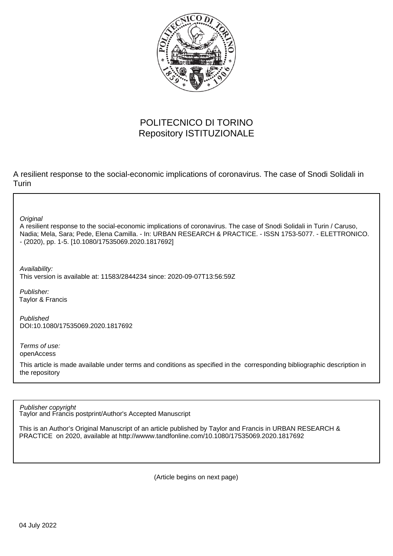

# POLITECNICO DI TORINO Repository ISTITUZIONALE

A resilient response to the social-economic implications of coronavirus. The case of Snodi Solidali in **Turin** 

**Original** 

A resilient response to the social-economic implications of coronavirus. The case of Snodi Solidali in Turin / Caruso, Nadia; Mela, Sara; Pede, Elena Camilla. - In: URBAN RESEARCH & PRACTICE. - ISSN 1753-5077. - ELETTRONICO. - (2020), pp. 1-5. [10.1080/17535069.2020.1817692]

Availability:

This version is available at: 11583/2844234 since: 2020-09-07T13:56:59Z

Publisher: Taylor & Francis

Published DOI:10.1080/17535069.2020.1817692

Terms of use: openAccess

This article is made available under terms and conditions as specified in the corresponding bibliographic description in the repository

Publisher copyright

Taylor and Francis postprint/Author's Accepted Manuscript

This is an Author's Original Manuscript of an article published by Taylor and Francis in URBAN RESEARCH & PRACTICE on 2020, available at http://wwww.tandfonline.com/10.1080/17535069.2020.1817692

(Article begins on next page)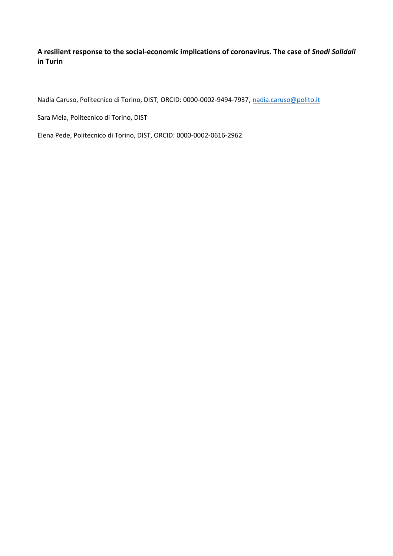## **A resilient response to the social-economic implications of coronavirus. The case of** *Snodi Solidali* **in Turin**

Nadia Caruso, Politecnico di Torino, DIST, ORCID: 0000-0002-9494-7937, [nadia.caruso@polito.it](mailto:nadia.caruso@polito.it)

Sara Mela, Politecnico di Torino, DIST

Elena Pede, Politecnico di Torino, DIST, ORCID: 0000-0002-0616-2962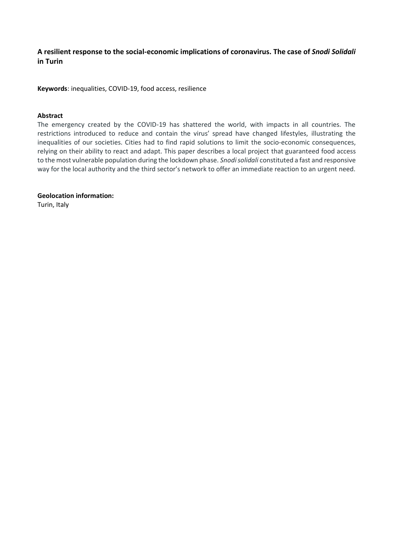## **A resilient response to the social-economic implications of coronavirus. The case of** *Snodi Solidali* **in Turin**

**Keywords**: inequalities, COVID-19, food access, resilience

#### **Abstract**

The emergency created by the COVID-19 has shattered the world, with impacts in all countries. The restrictions introduced to reduce and contain the virus' spread have changed lifestyles, illustrating the inequalities of our societies. Cities had to find rapid solutions to limit the socio-economic consequences, relying on their ability to react and adapt. This paper describes a local project that guaranteed food access to the most vulnerable population during the lockdown phase. *Snodi solidali* constituted a fast and responsive way for the local authority and the third sector's network to offer an immediate reaction to an urgent need.

**Geolocation information:**

Turin, Italy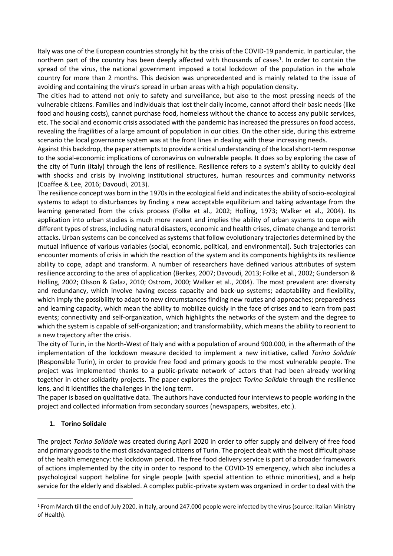Italy was one of the European countries strongly hit by the crisis of the COVID-19 pandemic. In particular, the northern part of the country has been deeply affected with thousands of cases<sup>1</sup>. In order to contain the spread of the virus, the national government imposed a total lockdown of the population in the whole country for more than 2 months. This decision was unprecedented and is mainly related to the issue of avoiding and containing the virus's spread in urban areas with a high population density.

The cities had to attend not only to safety and surveillance, but also to the most pressing needs of the vulnerable citizens. Families and individuals that lost their daily income, cannot afford their basic needs (like food and housing costs), cannot purchase food, homeless without the chance to access any public services, etc. The social and economic crisis associated with the pandemic has increased the pressures on food access, revealing the fragilities of a large amount of population in our cities. On the other side, during this extreme scenario the local governance system was at the front lines in dealing with these increasing needs.

Against this backdrop, the paper attempts to provide a critical understanding of the local short-term response to the social-economic implications of coronavirus on vulnerable people. It does so by exploring the case of the city of Turin (Italy) through the lens of resilience. Resilience refers to a system's ability to quickly deal with shocks and crisis by involving institutional structures, human resources and community networks (Coaffee & Lee, 2016; Davoudi, 2013).

The resilience concept was born in the 1970s in the ecological field and indicates the ability of socio-ecological systems to adapt to disturbances by finding a new acceptable equilibrium and taking advantage from the learning generated from the crisis process (Folke et al., 2002; Holling, 1973; Walker et al., 2004). Its application into urban studies is much more recent and implies the ability of urban systems to cope with different types of stress, including natural disasters, economic and health crises, climate change and terrorist attacks. Urban systems can be conceived as systems that follow evolutionary trajectories determined by the mutual influence of various variables (social, economic, political, and environmental). Such trajectories can encounter moments of crisis in which the reaction of the system and its components highlights its resilience ability to cope, adapt and transform. A number of researchers have defined various attributes of system resilience according to the area of application (Berkes, 2007; Davoudi, 2013; Folke et al., 2002; Gunderson & Holling, 2002; Olsson & Galaz, 2010; Ostrom, 2000; Walker et al., 2004). The most prevalent are: diversity and redundancy, which involve having excess capacity and back-up systems; adaptability and flexibility, which imply the possibility to adapt to new circumstances finding new routes and approaches; preparedness and learning capacity, which mean the ability to mobilize quickly in the face of crises and to learn from past events; connectivity and self-organization, which highlights the networks of the system and the degree to which the system is capable of self-organization; and transformability, which means the ability to reorient to a new trajectory after the crisis.

The city of Turin, in the North-West of Italy and with a population of around 900.000, in the aftermath of the implementation of the lockdown measure decided to implement a new initiative, called *Torino Solidale* (Responsible Turin), in order to provide free food and primary goods to the most vulnerable people. The project was implemented thanks to a public-private network of actors that had been already working together in other solidarity projects. The paper explores the project *Torino Solidale* through the resilience lens, and it identifies the challenges in the long term.

The paper is based on qualitative data. The authors have conducted four interviews to people working in the project and collected information from secondary sources (newspapers, websites, etc.).

## **1. Torino Solidale**

The project *Torino Solidale* was created during April 2020 in order to offer supply and delivery of free food and primary goods to the most disadvantaged citizens of Turin. The project dealt with the most difficult phase of the health emergency: the lockdown period. The free food delivery service is part of a broader framework of actions implemented by the city in order to respond to the COVID-19 emergency, which also includes a psychological support helpline for single people (with special attention to ethnic minorities), and a help service for the elderly and disabled. A complex public-private system was organized in order to deal with the

<sup>1</sup> From March till the end of July 2020, in Italy, around 247.000 people were infected by the virus (source: Italian Ministry of Health).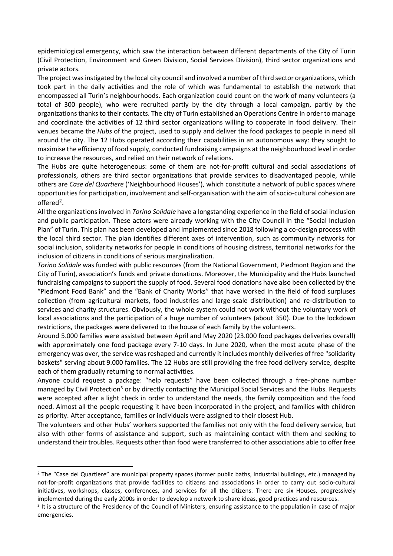epidemiological emergency, which saw the interaction between different departments of the City of Turin (Civil Protection, Environment and Green Division, Social Services Division), third sector organizations and private actors.

The project was instigated by the local city council and involved a number of third sector organizations, which took part in the daily activities and the role of which was fundamental to establish the network that encompassed all Turin's neighbourhoods. Each organization could count on the work of many volunteers (a total of 300 people), who were recruited partly by the city through a local campaign, partly by the organizations thanks to their contacts. The city of Turin established an Operations Centre in order to manage and coordinate the activities of 12 third sector organizations willing to cooperate in food delivery. Their venues became the *Hubs* of the project, used to supply and deliver the food packages to people in need all around the city. The 12 Hubs operated according their capabilities in an autonomous way: they sought to maximise the efficiency of food supply, conducted fundraising campaigns at the neighbourhood level in order to increase the resources, and relied on their network of relations.

The Hubs are quite heterogeneous: some of them are not-for-profit cultural and social associations of professionals, others are third sector organizations that provide services to disadvantaged people, while others are *Case del Quartiere* ('Neighbourhood Houses'), which constitute a network of public spaces where opportunities for participation, involvement and self-organisation with the aim of socio-cultural cohesion are offered<sup>2</sup>.

All the organizations involved in *Torino Solidale* have a longstanding experience in the field of social inclusion and public participation. These actors were already working with the City Council in the "Social Inclusion Plan" of Turin. This plan has been developed and implemented since 2018 following a co-design process with the local third sector. The plan identifies different axes of intervention, such as community networks for social inclusion, solidarity networks for people in conditions of housing distress, territorial networks for the inclusion of citizens in conditions of serious marginalization.

*Torino Solidale* was funded with public resources (from the National Government, Piedmont Region and the City of Turin), association's funds and private donations. Moreover, the Municipality and the Hubs launched fundraising campaigns to support the supply of food. Several food donations have also been collected by the "Piedmont Food Bank" and the "Bank of Charity Works" that have worked in the field of food surpluses collection (from agricultural markets, food industries and large-scale distribution) and re-distribution to services and charity structures. Obviously, the whole system could not work without the voluntary work of local associations and the participation of a huge number of volunteers (about 350). Due to the lockdown restrictions, the packages were delivered to the house of each family by the volunteers.

Around 5.000 families were assisted between April and May 2020 (23.000 food packages deliveries overall) with approximately one food package every 7-10 days. In June 2020, when the most acute phase of the emergency was over, the service was reshaped and currently it includes monthly deliveries of free "solidarity baskets" serving about 9.000 families. The 12 Hubs are still providing the free food delivery service, despite each of them gradually returning to normal activities.

Anyone could request a package: "help requests" have been collected through a free-phone number managed by Civil Protection<sup>3</sup> or by directly contacting the Municipal Social Services and the Hubs. Requests were accepted after a light check in order to understand the needs, the family composition and the food need. Almost all the people requesting it have been incorporated in the project, and families with children as priority. After acceptance, families or individuals were assigned to their closest Hub.

The volunteers and other Hubs' workers supported the families not only with the food delivery service, but also with other forms of assistance and support, such as maintaining contact with them and seeking to understand their troubles. Requests other than food were transferred to other associations able to offer free

<sup>&</sup>lt;sup>2</sup> The "Case del Quartiere" are municipal property spaces (former public baths, industrial buildings, etc.) managed by not-for-profit organizations that provide facilities to citizens and associations in order to carry out socio-cultural initiatives, workshops, classes, conferences, and services for all the citizens. There are six Houses, progressively implemented during the early 2000s in order to develop a network to share ideas, good practices and resources.

<sup>&</sup>lt;sup>3</sup> It is a structure of the Presidency of the Council of Ministers, ensuring assistance to the population in case of major emergencies.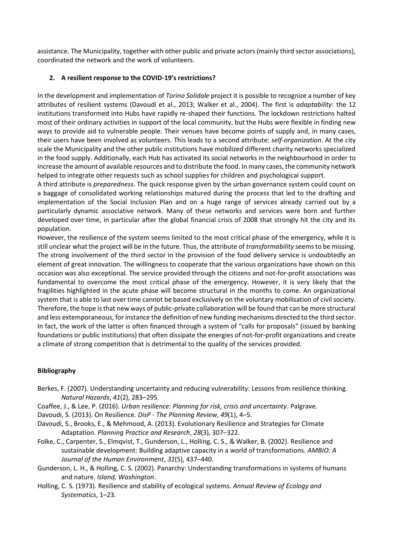assistance. The Municipality, together with other public and private actors (mainly third sector associations), coordinated the network and the work of volunteers.

## **2. A resilient response to the COVID-19's restrictions?**

In the development and implementation of *Torino Solidale* project it is possible to recognize a number of key attributes of resilient systems (Davoudi et al., 2013; Walker et al., 2004). The first is *adaptability*: the 12 institutions transformed into Hubs have rapidly re-shaped their functions. The lockdown restrictions halted most of their ordinary activities in support of the local community, but the Hubs were flexible in finding new ways to provide aid to vulnerable people. Their venues have become points of supply and, in many cases, their users have been involved as volunteers. This leads to a second attribute: *self-organization*. At the city scale the Municipality and the other public institutions have mobilized different charity networks specialized in the food supply. Additionally, each Hub has activated its social networks in the neighbourhood in order to increase the amount of available resources and to distribute the food. In many cases, the community network helped to integrate other requests such as school supplies for children and psychological support.

A third attribute is *preparedness*. The quick response given by the urban governance system could count on a baggage of consolidated working relationships matured during the process that led to the drafting and implementation of the Social Inclusion Plan and on a huge range of services already carried out by a particularly dynamic associative network. Many of these networks and services were born and further developed over time, in particular after the global financial crisis of 2008 that strongly hit the city and its population.

However, the resilience of the system seems limited to the most critical phase of the emergency, while it is still unclear what the project will be in the future. Thus, the attribute of *transformability* seems to be missing. The strong involvement of the third sector in the provision of the food delivery service is undoubtedly an element of great innovation. The willingness to cooperate that the various organizations have shown on this occasion was also exceptional. The service provided through the citizens and not-for-profit associations was fundamental to overcome the most critical phase of the emergency. However, it is very likely that the fragilities highlighted in the acute phase will become structural in the months to come. An organizational system that is able to last over time cannot be based exclusively on the voluntary mobilisation of civil society. Therefore, the hope is that new ways of public-private collaboration will be found that can be more structural and less extemporaneous, for instance the definition of new funding mechanisms directed to the third sector. In fact, the work of the latter is often financed through a system of "calls for proposals" (issued by banking foundations or public institutions) that often dissipate the energies of not-for-profit organizations and create a climate of strong competition that is detrimental to the quality of the services provided.

## **Bibliography**

- Berkes, F. (2007). Understanding uncertainty and reducing vulnerability: Lessons from resilience thinking. *Natural Hazards*, *41*(2), 283–295.
- Coaffee, J., & Lee, P. (2016). *Urban resilience: Planning for risk, crisis and uncertainty*. Palgrave.
- Davoudi, S. (2013). On Resilience. *DisP - The Planning Review*, *49*(1), 4–5.
- Davoudi, S., Brooks, E., & Mehmood, A. (2013). Evolutionary Resilience and Strategies for Climate Adaptation. *Planning Practice and Research*, *28*(3), 307–322.
- Folke, C., Carpenter, S., Elmqvist, T., Gunderson, L., Holling, C. S., & Walker, B. (2002). Resilience and sustainable development: Building adaptive capacity in a world of transformations. *AMBIO: A Journal of the Human Environment*, *31*(5), 437–440.
- Gunderson, L. H., & Holling, C. S. (2002). Panarchy: Understanding transformations in systems of humans and nature. *Island, Washington*.
- Holling, C. S. (1973). Resilience and stability of ecological systems. *Annual Review of Ecology and Systematics*, 1–23.